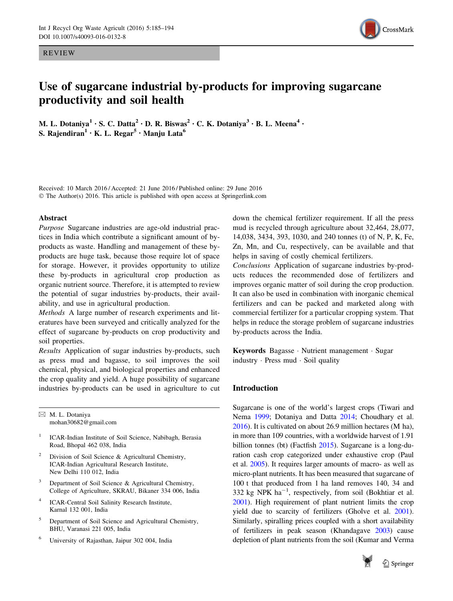REVIEW



# Use of sugarcane industrial by-products for improving sugarcane productivity and soil health

M. L. Dotaniya<sup>1</sup> · S. C. Datta<sup>2</sup> · D. R. Biswas<sup>2</sup> · C. K. Dotaniya<sup>3</sup> · B. L. Meena<sup>4</sup> · S. Rajendiran $^1\cdot$  K. L. Regar $^5\cdot$  Manju Lata $^6$ 

Received: 10 March 2016 / Accepted: 21 June 2016 / Published online: 29 June 2016 © The Author(s) 2016. This article is published with open access at Springerlink.com

#### Abstract

Purpose Sugarcane industries are age-old industrial practices in India which contribute a significant amount of byproducts as waste. Handling and management of these byproducts are huge task, because those require lot of space for storage. However, it provides opportunity to utilize these by-products in agricultural crop production as organic nutrient source. Therefore, it is attempted to review the potential of sugar industries by-products, their availability, and use in agricultural production.

Methods A large number of research experiments and literatures have been surveyed and critically analyzed for the effect of sugarcane by-products on crop productivity and soil properties.

Results Application of sugar industries by-products, such as press mud and bagasse, to soil improves the soil chemical, physical, and biological properties and enhanced the crop quality and yield. A huge possibility of sugarcane industries by-products can be used in agriculture to cut

 $\boxtimes$  M. L. Dotaniya mohan30682@gmail.com

- 1 ICAR-Indian Institute of Soil Science, Nabibagh, Berasia Road, Bhopal 462 038, India
- <sup>2</sup> Division of Soil Science & Agricultural Chemistry, ICAR-Indian Agricultural Research Institute, New Delhi 110 012, India
- <sup>3</sup> Department of Soil Science & Agricultural Chemistry, College of Agriculture, SKRAU, Bikaner 334 006, India
- 4 ICAR-Central Soil Salinity Research Institute, Karnal 132 001, India
- <sup>5</sup> Department of Soil Science and Agricultural Chemistry, BHU, Varanasi 221 005, India
- <sup>6</sup> University of Rajasthan, Jaipur 302 004, India

down the chemical fertilizer requirement. If all the press mud is recycled through agriculture about 32,464, 28,077, 14,038, 3434, 393, 1030, and 240 tonnes (t) of N, P, K, Fe, Zn, Mn, and Cu, respectively, can be available and that helps in saving of costly chemical fertilizers.

Conclusions Application of sugarcane industries by-products reduces the recommended dose of fertilizers and improves organic matter of soil during the crop production. It can also be used in combination with inorganic chemical fertilizers and can be packed and marketed along with commercial fertilizer for a particular cropping system. That helps in reduce the storage problem of sugarcane industries by-products across the India.

Keywords Bagasse - Nutrient management - Sugar industry - Press mud - Soil quality

# Introduction

Sugarcane is one of the world's largest crops (Tiwari and Nema [1999](#page-9-0); Dotaniya and Datta [2014;](#page-8-0) Choudhary et al. [2016\)](#page-7-0). It is cultivated on about 26.9 million hectares (M ha), in more than 109 countries, with a worldwide harvest of 1.91 billion tonnes (bt) (Factfish [2015](#page-8-0)). Sugarcane is a long-duration cash crop categorized under exhaustive crop (Paul et al. [2005](#page-8-0)). It requires larger amounts of macro- as well as micro-plant nutrients. It has been measured that sugarcane of 100 t that produced from 1 ha land removes 140, 34 and 332 kg NPK  $ha^{-1}$ , respectively, from soil (Bokhtiar et al. [2001\)](#page-7-0). High requirement of plant nutrient limits the crop yield due to scarcity of fertilizers (Gholve et al. [2001\)](#page-8-0). Similarly, spiralling prices coupled with a short availability of fertilizers in peak season (Khandagave [2003\)](#page-8-0) cause depletion of plant nutrients from the soil (Kumar and Verma

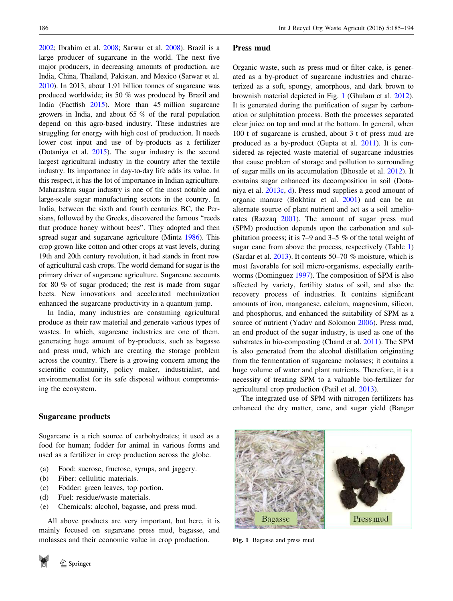[2002;](#page-8-0) Ibrahim et al. [2008;](#page-8-0) Sarwar et al. [2008](#page-9-0)). Brazil is a large producer of sugarcane in the world. The next five major producers, in decreasing amounts of production, are India, China, Thailand, Pakistan, and Mexico (Sarwar et al. [2010\)](#page-9-0). In 2013, about 1.91 billion tonnes of sugarcane was produced worldwide; its 50 % was produced by Brazil and India (Factfish [2015](#page-8-0)). More than 45 million sugarcane growers in India, and about 65 % of the rural population depend on this agro-based industry. These industries are struggling for energy with high cost of production. It needs lower cost input and use of by-products as a fertilizer (Dotaniya et al. [2015\)](#page-8-0). The sugar industry is the second largest agricultural industry in the country after the textile industry. Its importance in day-to-day life adds its value. In this respect, it has the lot of importance in Indian agriculture. Maharashtra sugar industry is one of the most notable and large-scale sugar manufacturing sectors in the country. In India, between the sixth and fourth centuries BC, the Persians, followed by the Greeks, discovered the famous ''reeds that produce honey without bees''. They adopted and then spread sugar and sugarcane agriculture (Mintz [1986](#page-8-0)). This crop grown like cotton and other crops at vast levels, during 19th and 20th century revolution, it had stands in front row of agricultural cash crops. The world demand for sugar is the primary driver of sugarcane agriculture. Sugarcane accounts for 80 % of sugar produced; the rest is made from sugar beets. New innovations and accelerated mechanization enhanced the sugarcane productivity in a quantum jump.

In India, many industries are consuming agricultural produce as their raw material and generate various types of wastes. In which, sugarcane industries are one of them, generating huge amount of by-products, such as bagasse and press mud, which are creating the storage problem across the country. There is a growing concern among the scientific community, policy maker, industrialist, and environmentalist for its safe disposal without compromising the ecosystem.

## Sugarcane products

Sugarcane is a rich source of carbohydrates; it used as a food for human; fodder for animal in various forms and used as a fertilizer in crop production across the globe.

- (a) Food: sucrose, fructose, syrups, and jaggery.
- (b) Fiber: cellulitic materials.
- (c) Fodder: green leaves, top portion.
- (d) Fuel: residue/waste materials.
- (e) Chemicals: alcohol, bagasse, and press mud.

All above products are very important, but here, it is mainly focused on sugarcane press mud, bagasse, and molasses and their economic value in crop production.



### Press mud

Organic waste, such as press mud or filter cake, is generated as a by-product of sugarcane industries and characterized as a soft, spongy, amorphous, and dark brown to brownish material depicted in Fig. 1 (Ghulam et al. [2012](#page-8-0)). It is generated during the purification of sugar by carbonation or sulphitation process. Both the processes separated clear juice on top and mud at the bottom. In general, when 100 t of sugarcane is crushed, about 3 t of press mud are produced as a by-product (Gupta et al. [2011\)](#page-8-0). It is considered as rejected waste material of sugarcane industries that cause problem of storage and pollution to surrounding of sugar mills on its accumulation (Bhosale et al. [2012](#page-7-0)). It contains sugar enhanced its decomposition in soil (Dotaniya et al. [2013c,](#page-8-0) [d\)](#page-8-0). Press mud supplies a good amount of organic manure (Bokhtiar et al. [2001](#page-7-0)) and can be an alternate source of plant nutrient and act as a soil ameliorates (Razzaq [2001\)](#page-9-0). The amount of sugar press mud (SPM) production depends upon the carbonation and sulphitation process; it is 7–9 and 3–5 % of the total weight of sugar cane from above the process, respectively (Table [1\)](#page-2-0) (Sardar et al. [2013\)](#page-9-0). It contents 50–70 % moisture, which is most favorable for soil micro-organisms, especially earthworms (Dominguez [1997](#page-8-0)). The composition of SPM is also affected by variety, fertility status of soil, and also the recovery process of industries. It contains significant amounts of iron, manganese, calcium, magnesium, silicon, and phosphorus, and enhanced the suitability of SPM as a source of nutrient (Yadav and Solomon [2006\)](#page-9-0). Press mud, an end product of the sugar industry, is used as one of the substrates in bio-composting (Chand et al. [2011\)](#page-7-0). The SPM is also generated from the alcohol distillation originating from the fermentation of sugarcane molasses; it contains a huge volume of water and plant nutrients. Therefore, it is a necessity of treating SPM to a valuable bio-fertilizer for agricultural crop production (Patil et al. [2013](#page-8-0)).

The integrated use of SPM with nitrogen fertilizers has enhanced the dry matter, cane, and sugar yield (Bangar



Fig. 1 Bagasse and press mud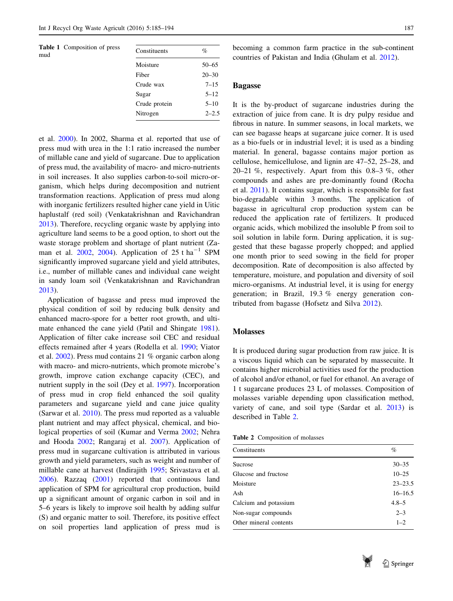<span id="page-2-0"></span>Table 1 Composition of press

| <b>Table 1</b> Composition of press<br>mud | Constituents<br>$\%$ |           |  |
|--------------------------------------------|----------------------|-----------|--|
|                                            | Moisture             | $50 - 65$ |  |
|                                            | Fiber                | $20 - 30$ |  |
|                                            | Crude wax            | $7 - 15$  |  |
|                                            | Sugar                | $5 - 12$  |  |
|                                            | Crude protein        | $5 - 10$  |  |
|                                            | Nitrogen             | $2 - 2.5$ |  |
|                                            |                      |           |  |

et al. [2000\)](#page-7-0). In 2002, Sharma et al. reported that use of press mud with urea in the 1:1 ratio increased the number of millable cane and yield of sugarcane. Due to application of press mud, the availability of macro- and micro-nutrients in soil increases. It also supplies carbon-to-soil micro-organism, which helps during decomposition and nutrient transformation reactions. Application of press mud along with inorganic fertilizers resulted higher cane yield in Uitic haplustalf (red soil) (Venkatakrishnan and Ravichandran [2013\)](#page-9-0). Therefore, recycling organic waste by applying into agriculture land seems to be a good option, to short out the waste storage problem and shortage of plant nutrient (Za-man et al. [2002,](#page-9-0) [2004\)](#page-9-0). Application of 25 t ha<sup>-1</sup> SPM significantly improved sugarcane yield and yield attributes, i.e., number of millable canes and individual cane weight in sandy loam soil (Venkatakrishnan and Ravichandran [2013\)](#page-9-0).

Application of bagasse and press mud improved the physical condition of soil by reducing bulk density and enhanced macro-spore for a better root growth, and ultimate enhanced the cane yield (Patil and Shingate [1981](#page-8-0)). Application of filter cake increase soil CEC and residual effects remained after 4 years (Rodella et al. [1990](#page-9-0); Viator et al. [2002\)](#page-9-0). Press mud contains 21 % organic carbon along with macro- and micro-nutrients, which promote microbe's growth, improve cation exchange capacity (CEC), and nutrient supply in the soil (Dey et al. [1997\)](#page-8-0). Incorporation of press mud in crop field enhanced the soil quality parameters and sugarcane yield and cane juice quality (Sarwar et al. [2010\)](#page-9-0). The press mud reported as a valuable plant nutrient and may affect physical, chemical, and biological properties of soil (Kumar and Verma [2002](#page-8-0); Nehra and Hooda [2002;](#page-8-0) Rangaraj et al. [2007\)](#page-9-0). Application of press mud in sugarcane cultivation is attributed in various growth and yield parameters, such as weight and number of millable cane at harvest (Indirajith [1995;](#page-8-0) Srivastava et al. [2006\)](#page-9-0). Razzaq [\(2001](#page-9-0)) reported that continuous land application of SPM for agricultural crop production, build up a significant amount of organic carbon in soil and in 5–6 years is likely to improve soil health by adding sulfur (S) and organic matter to soil. Therefore, its positive effect on soil properties land application of press mud is

becoming a common farm practice in the sub-continent countries of Pakistan and India (Ghulam et al. [2012](#page-8-0)).

# Bagasse

It is the by-product of sugarcane industries during the extraction of juice from cane. It is dry pulpy residue and fibrous in nature. In summer seasons, in local markets, we can see bagasse heaps at sugarcane juice corner. It is used as a bio-fuels or in industrial level; it is used as a binding material. In general, bagasse contains major portion as cellulose, hemicellulose, and lignin are 47–52, 25–28, and 20–21 %, respectively. Apart from this 0.8–3 %, other compounds and ashes are pre-dominantly found (Rocha et al. [2011\)](#page-9-0). It contains sugar, which is responsible for fast bio-degradable within 3 months. The application of bagasse in agricultural crop production system can be reduced the application rate of fertilizers. It produced organic acids, which mobilized the insoluble P from soil to soil solution in labile form. During application, it is suggested that these bagasse properly chopped; and applied one month prior to seed sowing in the field for proper decomposition. Rate of decomposition is also affected by temperature, moisture, and population and diversity of soil micro-organisms. At industrial level, it is using for energy generation; in Brazil, 19.3 % energy generation contributed from bagasse (Hofsetz and Silva [2012](#page-8-0)).

# Molasses

It is produced during sugar production from raw juice. It is a viscous liquid which can be separated by massecuite. It contains higher microbial activities used for the production of alcohol and/or ethanol, or fuel for ethanol. An average of 1 t sugarcane produces 23 L of molasses. Composition of molasses variable depending upon classification method, variety of cane, and soil type (Sardar et al. [2013](#page-9-0)) is described in Table 2.

Table 2 Composition of molasses

| Constituents           | $\%$        |
|------------------------|-------------|
| Sucrose                | $30 - 35$   |
| Glucose and fructose   | $10 - 25$   |
| Moisture               | $23 - 23.5$ |
| Ash                    | $16 - 16.5$ |
| Calcium and potassium  | $4.8 - 5$   |
| Non-sugar compounds    | $2 - 3$     |
| Other mineral contents | $1 - 2$     |

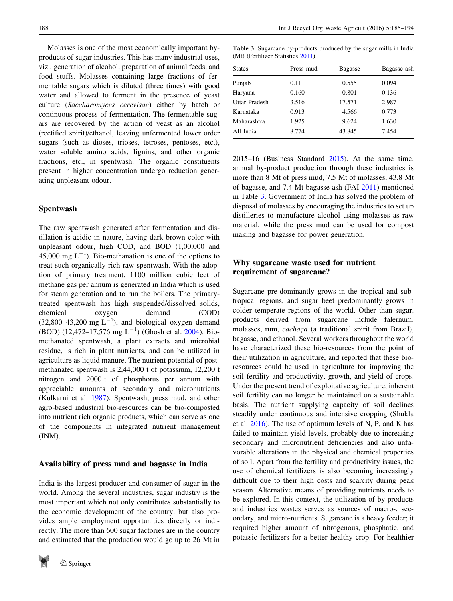Molasses is one of the most economically important byproducts of sugar industries. This has many industrial uses, viz., generation of alcohol, preparation of animal feeds, and food stuffs. Molasses containing large fractions of fermentable sugars which is diluted (three times) with good water and allowed to ferment in the presence of yeast culture (Saccharomyces cerevisae) either by batch or continuous process of fermentation. The fermentable sugars are recovered by the action of yeast as an alcohol (rectified spirit)/ethanol, leaving unfermented lower order sugars (such as dioses, trioses, tetroses, pentoses, etc.), water soluble amino acids, lignins, and other organic fractions, etc., in spentwash. The organic constituents present in higher concentration undergo reduction generating unpleasant odour.

## Spentwash

The raw spentwash generated after fermentation and distillation is acidic in nature, having dark brown color with unpleasant odour, high COD, and BOD (1,00,000 and  $45,000 \text{ mg } L^{-1}$ ). Bio-methanation is one of the options to treat such organically rich raw spentwash. With the adoption of primary treatment, 1100 million cubic feet of methane gas per annum is generated in India which is used for steam generation and to run the boilers. The primarytreated spentwash has high suspended/dissolved solids, chemical oxygen demand (COD)  $(32,800-43,200 \text{ mg } L^{-1})$ , and biological oxygen demand (BOD) (12,472–17,576 mg L<sup>-1</sup>) (Ghosh et al. [2004](#page-8-0)). Biomethanated spentwash, a plant extracts and microbial residue, is rich in plant nutrients, and can be utilized in agriculture as liquid manure. The nutrient potential of postmethanated spentwash is 2,44,000 t of potassium, 12,200 t nitrogen and 2000 t of phosphorus per annum with appreciable amounts of secondary and micronutrients (Kulkarni et al. [1987\)](#page-8-0). Spentwash, press mud, and other agro-based industrial bio-resources can be bio-composted into nutrient rich organic products, which can serve as one of the components in integrated nutrient management (INM).

#### Availability of press mud and bagasse in India

India is the largest producer and consumer of sugar in the world. Among the several industries, sugar industry is the most important which not only contributes substantially to the economic development of the country, but also provides ample employment opportunities directly or indirectly. The more than 600 sugar factories are in the country and estimated that the production would go up to 26 Mt in



Table 3 Sugarcane by-products produced by the sugar mills in India (Mt) (Fertilizer Statistics [2011\)](#page-8-0)

| <b>States</b> | Press mud | <b>Bagasse</b> | Bagasse ash |  |
|---------------|-----------|----------------|-------------|--|
| Punjab        | 0.111     | 0.555          | 0.094       |  |
| Haryana       | 0.160     | 0.801          | 0.136       |  |
| Uttar Pradesh | 3.516     | 17.571         | 2.987       |  |
| Karnataka     | 0.913     | 4.566          | 0.773       |  |
| Maharashtra   | 1.925     | 9.624          | 1.630       |  |
| All India     | 8.774     | 43.845         | 7.454       |  |

2015–16 (Business Standard [2015](#page-7-0)). At the same time, annual by-product production through these industries is more than 8 Mt of press mud, 7.5 Mt of molasses, 43.8 Mt of bagasse, and 7.4 Mt bagasse ash (FAI [2011](#page-8-0)) mentioned in Table 3. Government of India has solved the problem of disposal of molasses by encouraging the industries to set up distilleries to manufacture alcohol using molasses as raw material, while the press mud can be used for compost making and bagasse for power generation.

# Why sugarcane waste used for nutrient requirement of sugarcane?

Sugarcane pre-dominantly grows in the tropical and subtropical regions, and sugar beet predominantly grows in colder temperate regions of the world. Other than sugar, products derived from sugarcane include falernum, molasses, rum, cachaça (a traditional spirit from Brazil), bagasse, and ethanol. Several workers throughout the world have characterized these bio-resources from the point of their utilization in agriculture, and reported that these bioresources could be used in agriculture for improving the soil fertility and productivity, growth, and yield of crops. Under the present trend of exploitative agriculture, inherent soil fertility can no longer be maintained on a sustainable basis. The nutrient supplying capacity of soil declines steadily under continuous and intensive cropping (Shukla et al. [2016\)](#page-9-0). The use of optimum levels of N, P, and K has failed to maintain yield levels, probably due to increasing secondary and micronutrient deficiencies and also unfavorable alterations in the physical and chemical properties of soil. Apart from the fertility and productivity issues, the use of chemical fertilizers is also becoming increasingly difficult due to their high costs and scarcity during peak season. Alternative means of providing nutrients needs to be explored. In this context, the utilization of by-products and industries wastes serves as sources of macro-, secondary, and micro-nutrients. Sugarcane is a heavy feeder; it required higher amount of nitrogenous, phosphatic, and potassic fertilizers for a better healthy crop. For healthier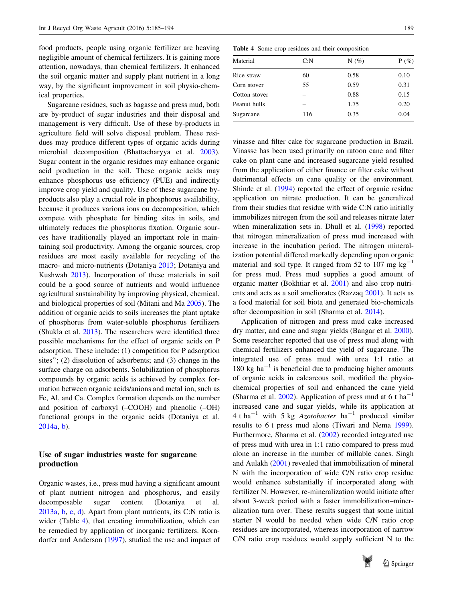food products, people using organic fertilizer are heaving negligible amount of chemical fertilizers. It is gaining more attention, nowadays, than chemical fertilizers. It enhanced the soil organic matter and supply plant nutrient in a long way, by the significant improvement in soil physio-chemical properties.

Sugarcane residues, such as bagasse and press mud, both are by-product of sugar industries and their disposal and management is very difficult. Use of these by-products in agriculture field will solve disposal problem. These residues may produce different types of organic acids during microbial decomposition (Bhattacharyya et al. [2003](#page-7-0)). Sugar content in the organic residues may enhance organic acid production in the soil. These organic acids may enhance phosphorus use efficiency (PUE) and indirectly improve crop yield and quality. Use of these sugarcane byproducts also play a crucial role in phosphorus availability, because it produces various ions on decomposition, which compete with phosphate for binding sites in soils, and ultimately reduces the phosphorus fixation. Organic sources have traditionally played an important role in maintaining soil productivity. Among the organic sources, crop residues are most easily available for recycling of the macro- and micro-nutrients (Dotaniya [2013;](#page-8-0) Dotaniya and Kushwah [2013](#page-8-0)). Incorporation of these materials in soil could be a good source of nutrients and would influence agricultural sustainability by improving physical, chemical, and biological properties of soil (Mitani and Ma [2005](#page-8-0)). The addition of organic acids to soils increases the plant uptake of phosphorus from water-soluble phosphorus fertilizers (Shukla et al. [2013\)](#page-9-0). The researchers were identified three possible mechanisms for the effect of organic acids on P adsorption. These include: (1) competition for P adsorption sites''; (2) dissolution of adsorbents; and (3) change in the surface charge on adsorbents. Solubilization of phosphorus compounds by organic acids is achieved by complex formation between organic acids/anions and metal ion, such as Fe, Al, and Ca. Complex formation depends on the number and position of carboxyl (–COOH) and phenolic (–OH) functional groups in the organic acids (Dotaniya et al. [2014a](#page-8-0), [b](#page-8-0)).

# Use of sugar industries waste for sugarcane production

Organic wastes, i.e., press mud having a significant amount of plant nutrient nitrogen and phosphorus, and easily decomposable sugar content (Dotaniya et al. [2013a](#page-8-0), [b](#page-8-0), [c](#page-8-0), [d\)](#page-8-0). Apart from plant nutrients, its C:N ratio is wider (Table 4), that creating immobilization, which can be remedied by application of inorganic fertilizers. Korndorfer and Anderson ([1997\)](#page-8-0), studied the use and impact of

Table 4 Some crop residues and their composition

| Material      | C: N | $N(\%)$ | $P(\%)$ |  |
|---------------|------|---------|---------|--|
| Rice straw    | 60   | 0.58    | 0.10    |  |
| Corn stover   | 55   | 0.59    | 0.31    |  |
| Cotton stover |      | 0.88    | 0.15    |  |
| Peanut hulls  |      | 1.75    | 0.20    |  |
| Sugarcane     | 116  | 0.35    | 0.04    |  |
|               |      |         |         |  |

vinasse and filter cake for sugarcane production in Brazil. Vinasse has been used primarily on ratoon cane and filter cake on plant cane and increased sugarcane yield resulted from the application of either finance or filter cake without detrimental effects on cane quality or the environment. Shinde et al. ([1994\)](#page-9-0) reported the effect of organic residue application on nitrate production. It can be generalized from their studies that residue with wide C:N ratio initially immobilizes nitrogen from the soil and releases nitrate later when mineralization sets in. Dhull et al. [\(1998](#page-8-0)) reported that nitrogen mineralization of press mud increased with increase in the incubation period. The nitrogen mineralization potential differed markedly depending upon organic material and soil type. It ranged from 52 to 107 mg  $kg^{-1}$ for press mud. Press mud supplies a good amount of organic matter (Bokhtiar et al. [2001\)](#page-7-0) and also crop nutrients and acts as a soil ameliorates (Razzaq [2001](#page-9-0)). It acts as a food material for soil biota and generated bio-chemicals after decomposition in soil (Sharma et al. [2014\)](#page-9-0).

Application of nitrogen and press mud cake increased dry matter, and cane and sugar yields (Bangar et al. [2000](#page-7-0)). Some researcher reported that use of press mud along with chemical fertilizers enhanced the yield of sugarcane. The integrated use of press mud with urea 1:1 ratio at  $180 \text{ kg} \text{ ha}^{-1}$  is beneficial due to producing higher amounts of organic acids in calcareous soil, modified the physiochemical properties of soil and enhanced the cane yield (Sharma et al. [2002\)](#page-9-0). Application of press mud at 6 t ha<sup>-1</sup> increased cane and sugar yields, while its application at 4 t ha<sup>-1</sup> with 5 kg Azotobacter ha<sup>-1</sup> produced similar results to 6 t press mud alone (Tiwari and Nema [1999](#page-9-0)). Furthermore, Sharma et al. ([2002\)](#page-9-0) recorded integrated use of press mud with urea in 1:1 ratio compared to press mud alone an increase in the number of millable canes. Singh and Aulakh ([2001\)](#page-9-0) revealed that immobilization of mineral N with the incorporation of wide C/N ratio crop residue would enhance substantially if incorporated along with fertilizer N. However, re-mineralization would initiate after about 3-week period with a faster immobilization–mineralization turn over. These results suggest that some initial starter N would be needed when wide C/N ratio crop residues are incorporated, whereas incorporation of narrow C/N ratio crop residues would supply sufficient N to the

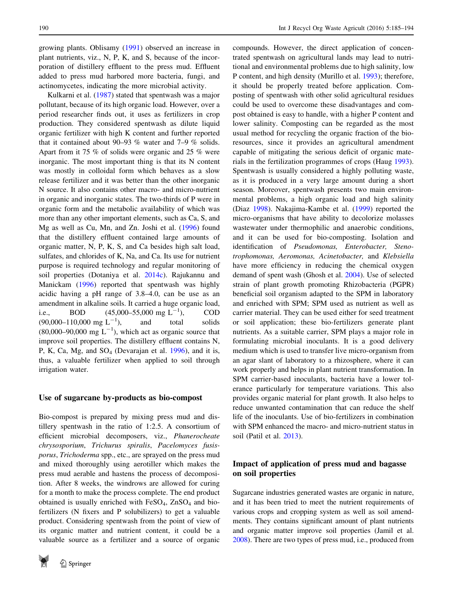growing plants. Oblisamy [\(1991](#page-8-0)) observed an increase in plant nutrients, viz., N, P, K, and S, because of the incorporation of distillery effluent to the press mud. Effluent added to press mud harbored more bacteria, fungi, and actinomycetes, indicating the more microbial activity.

Kulkarni et al. [\(1987](#page-8-0)) stated that spentwash was a major pollutant, because of its high organic load. However, over a period researcher finds out, it uses as fertilizers in crop production. They considered spentwash as dilute liquid organic fertilizer with high K content and further reported that it contained about 90–93  $\%$  water and 7–9  $\%$  solids. Apart from it 75 % of solids were organic and 25 % were inorganic. The most important thing is that its N content was mostly in colloidal form which behaves as a slow release fertilizer and it was better than the other inorganic N source. It also contains other macro- and micro-nutrient in organic and inorganic states. The two-thirds of P were in organic form and the metabolic availability of which was more than any other important elements, such as Ca, S, and Mg as well as Cu, Mn, and Zn. Joshi et al. ([1996\)](#page-8-0) found that the distillery effluent contained large amounts of organic matter, N, P, K, S, and Ca besides high salt load, sulfates, and chlorides of K, Na, and Ca. Its use for nutrient purpose is required technology and regular monitoring of soil properties (Dotaniya et al. [2014c\)](#page-8-0). Rajukannu and Manickam [\(1996](#page-8-0)) reported that spentwash was highly acidic having a pH range of 3.8–4.0, can be use as an amendment in alkaline soils. It carried a huge organic load, i.e., BOD  $(45,000-55,000 \text{ mg } L^{-1})$ , ), COD  $(90,000-110,000 \text{ mg } L^{-1})$ , ), and total solids  $(80,000-90,000 \text{ mg L}^{-1})$ , which act as organic source that improve soil properties. The distillery effluent contains N, P, K, Ca, Mg, and  $SO_4$  (Devarajan et al. [1996](#page-7-0)), and it is, thus, a valuable fertilizer when applied to soil through irrigation water.

#### Use of sugarcane by-products as bio-compost

Bio-compost is prepared by mixing press mud and distillery spentwash in the ratio of 1:2.5. A consortium of efficient microbial decomposers, viz., Phanerocheate chrysosporium, Trichurus spiralis, Pacelomyces fusisporus, Trichoderma spp., etc., are sprayed on the press mud and mixed thoroughly using aerotiller which makes the press mud aerable and hastens the process of decomposition. After 8 weeks, the windrows are allowed for curing for a month to make the process complete. The end product obtained is usually enriched with  $FeSO<sub>4</sub>$ ,  $ZnSO<sub>4</sub>$  and biofertilizers (N fixers and P solubilizers) to get a valuable product. Considering spentwash from the point of view of its organic matter and nutrient content, it could be a valuable source as a fertilizer and a source of organic



compounds. However, the direct application of concentrated spentwash on agricultural lands may lead to nutritional and environmental problems due to high salinity, low P content, and high density (Murillo et al. [1993\)](#page-8-0); therefore, it should be properly treated before application. Composting of spentwash with other solid agricultural residues could be used to overcome these disadvantages and compost obtained is easy to handle, with a higher P content and lower salinity. Composting can be regarded as the most usual method for recycling the organic fraction of the bioresources, since it provides an agricultural amendment capable of mitigating the serious deficit of organic materials in the fertilization programmes of crops (Haug [1993](#page-8-0)). Spentwash is usually considered a highly polluting waste, as it is produced in a very large amount during a short season. Moreover, spentwash presents two main environmental problems, a high organic load and high salinity (Diaz [1998\)](#page-8-0). Nakajima-Kambe et al. ([1999\)](#page-8-0) reported the micro-organisms that have ability to decolorize molasses wastewater under thermophilic and anaerobic conditions, and it can be used for bio-composting. Isolation and identification of Pseudomonas, Enterobacter, Stenotrophomonas, Aeromonas, Acinetobacter, and Klebsiella have more efficiency in reducing the chemical oxygen demand of spent wash (Ghosh et al. [2004\)](#page-8-0). Use of selected strain of plant growth promoting Rhizobacteria (PGPR) beneficial soil organism adapted to the SPM in laboratory and enriched with SPM; SPM used as nutrient as well as carrier material. They can be used either for seed treatment or soil application; these bio-fertilizers generate plant nutrients. As a suitable carrier, SPM plays a major role in formulating microbial inoculants. It is a good delivery medium which is used to transfer live micro-organism from an agar slant of laboratory to a rhizosphere, where it can work properly and helps in plant nutrient transformation. In SPM carrier-based inoculants, bacteria have a lower tolerance particularly for temperature variations. This also provides organic material for plant growth. It also helps to reduce unwanted contamination that can reduce the shelf life of the inoculants. Use of bio-fertilizers in combination with SPM enhanced the macro- and micro-nutrient status in soil (Patil et al. [2013\)](#page-8-0).

# Impact of application of press mud and bagasse on soil properties

Sugarcane industries generated wastes are organic in nature, and it has been tried to meet the nutrient requirements of various crops and cropping system as well as soil amendments. They contains significant amount of plant nutrients and organic matter improve soil properties (Jamil et al. [2008\)](#page-8-0). There are two types of press mud, i.e., produced from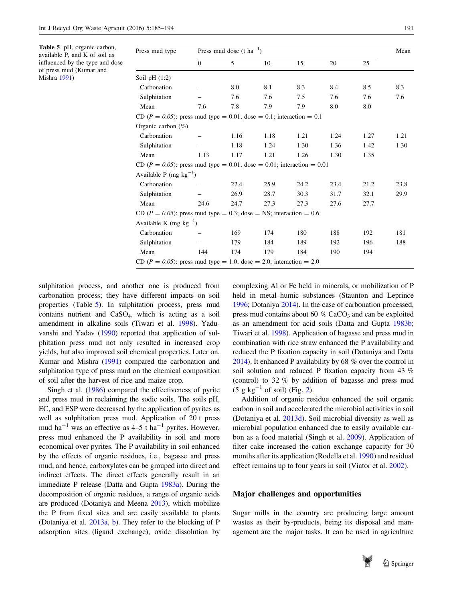Table 5 pH, organic carbon, available P, and K of soil as influenced by the type and dose of press mud (Kumar and Mishra [1991\)](#page-8-0)

| Press mud type                                                            |          | Press mud dose (t ha <sup>-1</sup> ) |      |      |      |      | Mean |
|---------------------------------------------------------------------------|----------|--------------------------------------|------|------|------|------|------|
|                                                                           | $\Omega$ | 5                                    | 10   | 15   | 20   | 25   |      |
| Soil pH $(1:2)$                                                           |          |                                      |      |      |      |      |      |
| Carbonation                                                               |          | 8.0                                  | 8.1  | 8.3  | 8.4  | 8.5  | 8.3  |
| Sulphitation                                                              |          | 7.6                                  | 7.6  | 7.5  | 7.6  | 7.6  | 7.6  |
| Mean                                                                      | 7.6      | 7.8                                  | 7.9  | 7.9  | 8.0  | 8.0  |      |
| CD ( $P = 0.05$ ): press mud type = 0.01; dose = 0.1; interaction = 0.1   |          |                                      |      |      |      |      |      |
| Organic carbon $(\%)$                                                     |          |                                      |      |      |      |      |      |
| Carbonation                                                               |          | 1.16                                 | 1.18 | 1.21 | 1.24 | 1.27 | 1.21 |
| Sulphitation                                                              |          | 1.18                                 | 1.24 | 1.30 | 1.36 | 1.42 | 1.30 |
| Mean                                                                      | 1.13     | 1.17                                 | 1.21 | 1.26 | 1.30 | 1.35 |      |
| CD ( $P = 0.05$ ): press mud type = 0.01; dose = 0.01; interaction = 0.01 |          |                                      |      |      |      |      |      |
| Available P (mg $kg^{-1}$ )                                               |          |                                      |      |      |      |      |      |
| Carbonation                                                               |          | 22.4                                 | 25.9 | 24.2 | 23.4 | 21.2 | 23.8 |
| Sulphitation                                                              |          | 26.9                                 | 28.7 | 30.3 | 31.7 | 32.1 | 29.9 |
| Mean                                                                      | 24.6     | 24.7                                 | 27.3 | 27.3 | 27.6 | 27.7 |      |
| CD ( $P = 0.05$ ): press mud type = 0.3; dose = NS; interaction = 0.6     |          |                                      |      |      |      |      |      |
| Available K (mg $kg^{-1}$ )                                               |          |                                      |      |      |      |      |      |
| Carbonation                                                               |          | 169                                  | 174  | 180  | 188  | 192  | 181  |
| Sulphitation                                                              |          | 179                                  | 184  | 189  | 192  | 196  | 188  |
| Mean                                                                      | 144      | 174                                  | 179  | 184  | 190  | 194  |      |
| CD ( $P = 0.05$ ): press mud type = 1.0; dose = 2.0; interaction = 2.0    |          |                                      |      |      |      |      |      |

sulphitation process, and another one is produced from carbonation process; they have different impacts on soil properties (Table 5). In sulphitation process, press mud contains nutrient and CaSO4, which is acting as a soil amendment in alkaline soils (Tiwari et al. [1998\)](#page-9-0). Yaduvanshi and Yadav [\(1990\)](#page-9-0) reported that application of sulphitation press mud not only resulted in increased crop yields, but also improved soil chemical properties. Later on, Kumar and Mishra [\(1991\)](#page-8-0) compared the carbonation and sulphitation type of press mud on the chemical composition of soil after the harvest of rice and maize crop.

Singh et al. ([1986](#page-9-0)) compared the effectiveness of pyrite and press mud in reclaiming the sodic soils. The soils pH, EC, and ESP were decreased by the application of pyrites as well as sulphitation press mud. Application of 20 t press mud ha<sup>-1</sup> was an effective as  $4-5$  t ha<sup>-1</sup> pyrites. However, press mud enhanced the P availability in soil and more economical over pyrites. The P availability in soil enhanced by the effects of organic residues, i.e., bagasse and press mud, and hence, carboxylates can be grouped into direct and indirect effects. The direct effects generally result in an immediate P release (Datta and Gupta [1983a\)](#page-7-0). During the decomposition of organic residues, a range of organic acids are produced (Dotaniya and Meena [2013\)](#page-8-0), which mobilize the P from fixed sites and are easily available to plants (Dotaniya et al. [2013a](#page-8-0), [b](#page-8-0)). They refer to the blocking of P adsorption sites (ligand exchange), oxide dissolution by complexing Al or Fe held in minerals, or mobilization of P held in metal–humic substances (Staunton and Leprince [1996;](#page-9-0) Dotaniya [2014](#page-8-0)). In the case of carbonation processed, press mud contains about 60 % CaCO<sub>3</sub> and can be exploited as an amendment for acid soils (Datta and Gupta [1983b](#page-7-0); Tiwari et al. [1998](#page-9-0)). Application of bagasse and press mud in combination with rice straw enhanced the P availability and reduced the P fixation capacity in soil (Dotaniya and Datta [2014\)](#page-8-0). It enhanced P availability by 68 % over the control in soil solution and reduced P fixation capacity from 43 % (control) to 32 % by addition of bagasse and press mud  $(5 \text{ g kg}^{-1} \text{ of soil})$  (Fig. [2](#page-7-0)).

Addition of organic residue enhanced the soil organic carbon in soil and accelerated the microbial activities in soil (Dotaniya et al. [2013d](#page-8-0)). Soil microbial diversity as well as microbial population enhanced due to easily available carbon as a food material (Singh et al. [2009\)](#page-9-0). Application of filter cake increased the cation exchange capacity for 30 months after its application (Rodella et al. [1990](#page-9-0)) and residual effect remains up to four years in soil (Viator et al. [2002\)](#page-9-0).

## Major challenges and opportunities

Sugar mills in the country are producing large amount wastes as their by-products, being its disposal and management are the major tasks. It can be used in agriculture

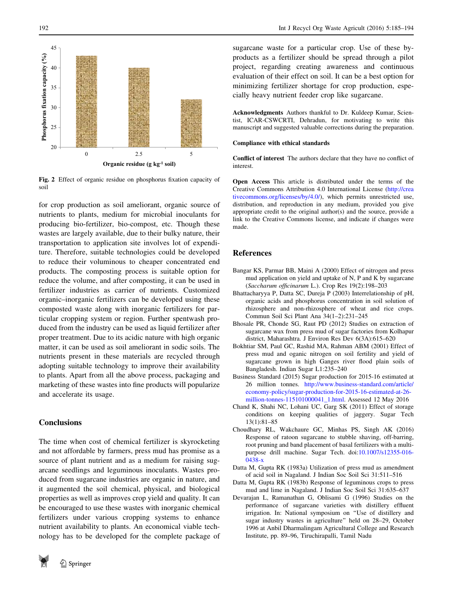<span id="page-7-0"></span>

Fig. 2 Effect of organic residue on phosphorus fixation capacity of soil

for crop production as soil ameliorant, organic source of nutrients to plants, medium for microbial inoculants for producing bio-fertilizer, bio-compost, etc. Though these wastes are largely available, due to their bulky nature, their transportation to application site involves lot of expenditure. Therefore, suitable technologies could be developed to reduce their voluminous to cheaper concentrated end products. The composting process is suitable option for reduce the volume, and after composting, it can be used in fertilizer industries as carrier of nutrients. Customized organic–inorganic fertilizers can be developed using these composted waste along with inorganic fertilizers for particular cropping system or region. Further spentwash produced from the industry can be used as liquid fertilizer after proper treatment. Due to its acidic nature with high organic matter, it can be used as soil ameliorant in sodic soils. The nutrients present in these materials are recycled through adopting suitable technology to improve their availability to plants. Apart from all the above process, packaging and marketing of these wastes into fine products will popularize and accelerate its usage.

# **Conclusions**

The time when cost of chemical fertilizer is skyrocketing and not affordable by farmers, press mud has promise as a source of plant nutrient and as a medium for raising sugarcane seedlings and leguminous inoculants. Wastes produced from sugarcane industries are organic in nature, and it augmented the soil chemical, physical, and biological properties as well as improves crop yield and quality. It can be encouraged to use these wastes with inorganic chemical fertilizers under various cropping systems to enhance nutrient availability to plants. An economical viable technology has to be developed for the complete package of



sugarcane waste for a particular crop. Use of these byproducts as a fertilizer should be spread through a pilot project, regarding creating awareness and continuous evaluation of their effect on soil. It can be a best option for minimizing fertilizer shortage for crop production, especially heavy nutrient feeder crop like sugarcane.

Acknowledgments Authors thankful to Dr. Kuldeep Kumar, Scientist, ICAR-CSWCRTI, Dehradun, for motivating to write this manuscript and suggested valuable corrections during the preparation.

#### Compliance with ethical standards

Conflict of interest The authors declare that they have no conflict of interest.

Open Access This article is distributed under the terms of the Creative Commons Attribution 4.0 International License ([http://crea](http://creativecommons.org/licenses/by/4.0/) [tivecommons.org/licenses/by/4.0/\)](http://creativecommons.org/licenses/by/4.0/), which permits unrestricted use, distribution, and reproduction in any medium, provided you give appropriate credit to the original author(s) and the source, provide a link to the Creative Commons license, and indicate if changes were made.

# References

- Bangar KS, Parmar BB, Maini A (2000) Effect of nitrogen and press mud application on yield and uptake of N, P and K by sugarcane (Saccharum officinarum L.). Crop Res 19(2):198–203
- Bhattacharyya P, Datta SC, Dureja P (2003) Interrelationship of pH, organic acids and phosphorus concentration in soil solution of rhizosphere and non-rhizosphere of wheat and rice crops. Commun Soil Sci Plant Ana 34(1–2):231–245
- Bhosale PR, Chonde SG, Raut PD (2012) Studies on extraction of sugarcane wax from press mud of sugar factories from Kolhapur district, Maharashtra. J Environ Res Dev 6(3A):615–620
- Bokhtiar SM, Paul GC, Rashid MA, Rahman ABM (2001) Effect of press mud and oganic nitrogen on soil fertility and yield of sugarcane grown in high Ganges river flood plain soils of Bangladesh. Indian Sugar L1:235–240
- Business Standard (2015) Sugar production for 2015-16 estimated at 26 million tonnes. [http://www.business-standard.com/article/](http://www.business-standard.com/article/economy-policy/sugar-production-for-2015-16-estimated-at-26-million-tonnes-115101000041_1.html) [economy-policy/sugar-production-for-2015-16-estimated-at-26](http://www.business-standard.com/article/economy-policy/sugar-production-for-2015-16-estimated-at-26-million-tonnes-115101000041_1.html) [million-tonnes-115101000041\\_1.html.](http://www.business-standard.com/article/economy-policy/sugar-production-for-2015-16-estimated-at-26-million-tonnes-115101000041_1.html) Assessed 12 May 2016
- Chand K, Shahi NC, Lohani UC, Garg SK (2011) Effect of storage conditions on keeping qualities of jaggery. Sugar Tech 13(1):81–85
- Choudhary RL, Wakchaure GC, Minhas PS, Singh AK (2016) Response of ratoon sugarcane to stubble shaving, off-barring, root pruning and band placement of basal fertilizers with a multipurpose drill machine. Sugar Tech. doi:[10.1007/s12355-016-](http://dx.doi.org/10.1007/s12355-016-0438-x) [0438-x](http://dx.doi.org/10.1007/s12355-016-0438-x)
- Datta M, Gupta RK (1983a) Utilization of press mud as amendment of acid soil in Nagaland. J Indian Soc Soil Sci 31:511–516
- Datta M, Gupta RK (1983b) Response of leguminous crops to press mud and lime in Nagaland. J Indian Soc Soil Sci 31:635–637
- Devarajan L, Ramanathan G, Oblisami G (1996) Studies on the performance of sugarcane varieties with distillery effluent irrigation. In: National symposium on ''Use of distillery and sugar industry wastes in agriculture'' held on 28–29, October 1996 at Anbil Dharmalingam Agricultural College and Research Institute, pp. 89–96, Tiruchirapalli, Tamil Nadu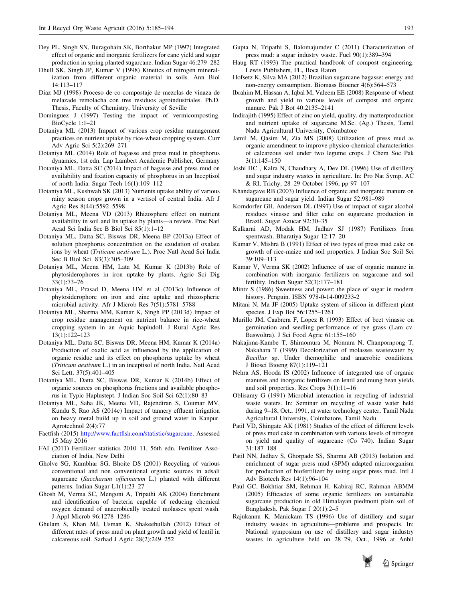- <span id="page-8-0"></span>Dey PL, Singh SN, Buragohain SK, Borthakur MP (1997) Integrated effect of organic and inorganic fertilizers for cane yield and sugar production in spring planted sugarcane. Indian Sugar 46:279–282
- Dhull SK, Singh JP, Kumar V (1998) Kinetics of nitrogen mineralization from different organic material in soils. Ann Biol 14:113–117
- Diaz MJ (1998) Proceso de co-compostaje de mezclas de vinaza de melazade remolacha con tres residuos agroindustriales. Ph.D. Thesis, Faculty of Chemistry, University of Seville
- Dominguez J (1997) Testing the impact of vermicomposting. BioCycle 1:1–21
- Dotaniya ML (2013) Impact of various crop residue management practices on nutrient uptake by rice-wheat cropping system. Curr Adv Agric Sci 5(2):269–271
- Dotaniya ML (2014) Role of bagasse and press mud in phosphorus dynamics, 1st edn. Lap Lambert Academic Publisher, Germany
- Dotaniya ML, Datta SC (2014) Impact of bagasse and press mud on availability and fixation capacity of phosphorus in an Inceptisol of north India. Sugar Tech 16(1):109–112
- Dotaniya ML, Kushwah SK (2013) Nutrients uptake ability of various rainy season crops grown in a vertisol of central India. Afr J Agric Res 8(44):5592–5598
- Dotaniya ML, Meena VD (2013) Rhizosphere effect on nutrient availability in soil and Its uptake by plants—a review. Proc Natl Acad Sci India Sec B Biol Sci 85(1):1–12
- Dotaniya ML, Datta SC, Biswas DR, Meena BP (2013a) Effect of solution phosphorus concentration on the exudation of oxalate ions by wheat (Triticum aestivum L.). Proc Natl Acad Sci India Sec B Biol Sci. 83(3):305–309
- Dotaniya ML, Meena HM, Lata M, Kumar K (2013b) Role of phytosiderophores in iron uptake by plants. Agric Sci Dig 33(1):73–76
- Dotaniya ML, Prasad D, Meena HM et al (2013c) Influence of phytosiderophore on iron and zinc uptake and rhizospheric microbial activity. Afr J Microb Res 7(51):5781–5788
- Dotaniya ML, Sharma MM, Kumar K, Singh PP (2013d) Impact of crop residue management on nutrient balance in rice-wheat cropping system in an Aquic hapludoll. J Rural Agric Res 13(1):122–123
- Dotaniya ML, Datta SC, Biswas DR, Meena HM, Kumar K (2014a) Production of oxalic acid as influenced by the application of organic residue and its effect on phosphorus uptake by wheat (Triticum aestivum L.) in an inceptisol of north India. Natl Acad Sci Lett. 37(5):401–405
- Dotaniya ML, Datta SC, Biswas DR, Kumar K (2014b) Effect of organic sources on phosphorus fractions and available phosphorus in Typic Haplustept. J Indian Soc Soil Sci 62(1):80–83
- Dotaniya ML, Saha JK, Meena VD, Rajendiran S, Coumar MV, Kundu S, Rao AS (2014c) Impact of tannery effluent irrigation on heavy metal build up in soil and ground water in Kanpur. Agrotechnol 2(4):77
- Factfish (2015) <http://www.factfish.com/statistic/sugarcane>. Assessed 15 May 2016
- FAI (2011) Fertilizer statistics 2010–11, 56th edn. Fertilizer Association of India, New Delhi
- Gholve SG, Kumbhar SG, Bhoite DS (2001) Recycling of various conventional and non conventional organic sources in adsali sugarcane (Saccharum officinarum L.) planted with different patterns. Indian Sugar L1(1):23–27
- Ghosh M, Verma SC, Mengoni A, Tripathi AK (2004) Enrichment and identification of bacteria capable of reducing chemical oxygen demand of anaerobically treated molasses spent wash. J Appl Microb 96:1278–1286
- Ghulam S, Khan MJ, Usman K, Shakeebullah (2012) Effect of different rates of press mud on plant growth and yield of lentil in calcareous soil. Sarhad J Agric 28(2):249–252
- Gupta N, Tripathi S, Balomajumder C (2011) Characterization of press mud: a sugar industry waste. Fuel 90(1):389–394
- Haug RT (1993) The practical handbook of compost engineering. Lewis Publishers, FL, Boca Raton
- Hofsetz K, Silva MA (2012) Brazilian sugarcane bagasse: energy and non-energy consumption. Biomass Bioener 4(6):564–573
- Ibrahim M, Hassan A, Iqbal M, Valeem EE (2008) Response of wheat growth and yield to various levels of compost and organic manure. Pak J Bot 40:2135–2141
- Indirajith (1995) Effect of zinc on yield, quality, dry matterproduction and nutrient uptake of sugarcane M.Sc. (Ag.) Thesis, Tamil Nadu Agricultural University, Coimbatore
- Jamil M, Qasim M, Zia MS (2008) Utilization of press mud as organic amendment to improve physico-chemical characteristics of calcareous soil under two legume crops. J Chem Soc Pak 3(1):145–150
- Joshi HC , Kalra N, Chaudhary A, Dev DL (1996) Use of distillery and sugar industry wastes in agriculture. In: Pro Nat Symp, AC & RI, Trichy, 28–29 October 1996, pp 97–107
- Khandagave RB (2003) Influence of organic and inorganic manure on sugarcane and sugar yield. Indian Sugar 52:981–989
- Korndorfer GH, Anderson DL (1997) Use of impact of sugar alcohol residues vinasse and filter cake on sugarcane production in Brazil. Sugar Azucar 92:30–35
- Kulkarni AD, Modak HM, Jadhav SJ (1987) Fertilizers from spentwash. Bharatiya Sugar 12:17–20
- Kumar V, Mishra B (1991) Effect of two types of press mud cake on growth of rice-maize and soil properties. J Indian Soc Soil Sci 39:109–113
- Kumar V, Verma SK (2002) Influence of use of organic manure in combination with inorganic fertilizers on sugarcane and soil fertility. Indian Sugar 52(3):177–181
- Mintz S (1986) Sweetness and power: the place of sugar in modern history. Penguin. ISBN 978-0-14-009233-2
- Mitani N, Ma JF (2005) Uptake system of silicon in different plant species. J Exp Bot 56:1255–1261
- Murillo JM, Caabrera F, Lopez R (1993) Effect of beet vinasse on germination and seedling performance of rye grass (Lam cv. Baswoltra). J Sci Food Agric 61:155–160
- Nakajima-Kambe T, Shimomura M, Nomura N, Chanpornpong T, Nakahara T (1999) Decolorization of molasses wastewater by Bacillus sp. Under themophilic and anaerobic conditions. J Biosci Bioeng 87(1):119–121
- Nehra AS, Hooda IS (2002) Influence of integrated use of organic manures and inorganic fertilizers on lentil and mung bean yields and soil properties. Res Crops 3(1):11–16
- Oblisamy G (1991) Microbial interaction in recycling of industrial waste waters. In: Seminar on recycling of waste water held during 9–18, Oct., 1991, at water technology center, Tamil Nadu Agricultural University, Coimbatore, Tamil Nadu
- Patil VD, Shingate AK (1981) Studies of the effect of different levels of press mud cake in combination with various levels of nitrogen on yield and quality of sugarcane (Co 740). Indian Sugar 31:187–188
- Patil NN, Jadhav S, Ghorpade SS, Sharma AB (2013) Isolation and enrichment of sugar press mud (SPM) adapted microorganism for production of biofertilizer by using sugar press mud. Intl J Adv Biotech Res 14(1):96–104
- Paul GC, Bokhtiar SM, Rehman H, Kabiraj RC, Rahman ABMM (2005) Efficacies of some organic fertilizers on sustainable sugarcane production in old Himalayan piedmont plain soil of Bangladesh. Pak Sugar J 20(1):2–5
- Rajukannu K, Manickam TS (1996) Use of distillery and sugar industry wastes in agriculture—problems and prospects. In: National symposium on use of distillery and sugar industry wastes in agriculture held on 28–29, Oct., 1996 at Anbil